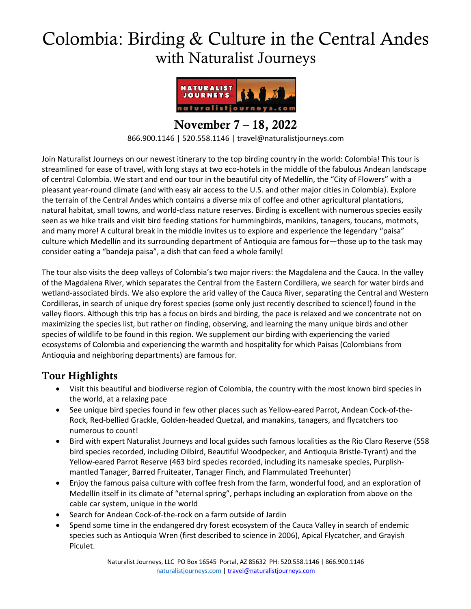# Colombia: Birding & Culture in the Central Andes with Naturalist Journeys



November 7 – 18, 2022 866.900.1146 | 520.558.1146 | travel@naturalistjourneys.com

Join Naturalist Journeys on our newest itinerary to the top birding country in the world: Colombia! This tour is streamlined for ease of travel, with long stays at two eco-hotels in the middle of the fabulous Andean landscape of central Colombia. We start and end our tour in the beautiful city of Medellín, the "City of Flowers" with a pleasant year-round climate (and with easy air access to the U.S. and other major cities in Colombia). Explore the terrain of the Central Andes which contains a diverse mix of coffee and other agricultural plantations, natural habitat, small towns, and world-class nature reserves. Birding is excellent with numerous species easily seen as we hike trails and visit bird feeding stations for hummingbirds, manikins, tanagers, toucans, motmots, and many more! A cultural break in the middle invites us to explore and experience the legendary "paisa" culture which Medellín and its surrounding department of Antioquia are famous for—those up to the task may consider eating a "bandeja paisa", a dish that can feed a whole family!

The tour also visits the deep valleys of Colombia's two major rivers: the Magdalena and the Cauca. In the valley of the Magdalena River, which separates the Central from the Eastern Cordillera, we search for water birds and wetland-associated birds. We also explore the arid valley of the Cauca River, separating the Central and Western Cordilleras, in search of unique dry forest species (some only just recently described to science!) found in the valley floors. Although this trip has a focus on birds and birding, the pace is relaxed and we concentrate not on maximizing the species list, but rather on finding, observing, and learning the many unique birds and other species of wildlife to be found in this region. We supplement our birding with experiencing the varied ecosystems of Colombia and experiencing the warmth and hospitality for which Paisas (Colombians from Antioquia and neighboring departments) are famous for.

## Tour Highlights

- Visit this beautiful and biodiverse region of Colombia, the country with the most known bird species in the world, at a relaxing pace
- See unique bird species found in few other places such as Yellow-eared Parrot, Andean Cock-of-the-Rock, Red-bellied Grackle, Golden-headed Quetzal, and manakins, tanagers, and flycatchers too numerous to count!
- Bird with expert Naturalist Journeys and local guides such famous localities as the Rio Claro Reserve (558 bird species recorded, including Oilbird, Beautiful Woodpecker, and Antioquia Bristle-Tyrant) and the Yellow-eared Parrot Reserve (463 bird species recorded, including its namesake species, Purplishmantled Tanager, Barred Fruiteater, Tanager Finch, and Flammulated Treehunter)
- Enjoy the famous paisa culture with coffee fresh from the farm, wonderful food, and an exploration of Medellín itself in its climate of "eternal spring", perhaps including an exploration from above on the cable car system, unique in the world
- Search for Andean Cock-of-the-rock on a farm outside of Jardin
- Spend some time in the endangered dry forest ecosystem of the Cauca Valley in search of endemic species such as Antioquia Wren (first described to science in 2006), Apical Flycatcher, and Grayish Piculet.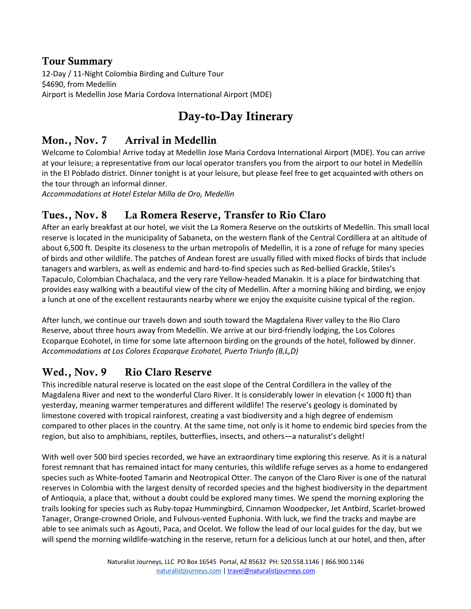#### Tour Summary

12-Day / 11-Night Colombia Birding and Culture Tour \$4690, from Medellín Airport is Medellin Jose Maria Cordova International Airport (MDE)

## Day-to-Day Itinerary

### Mon., Nov. 7 Arrival in Medellin

Welcome to Colombia! Arrive today at Medellin Jose Maria Cordova International Airport (MDE). You can arrive at your leisure; a representative from our local operator transfers you from the airport to our hotel in Medellín in the El Poblado district. Dinner tonight is at your leisure, but please feel free to get acquainted with others on the tour through an informal dinner.

*Accommodations at Hotel Estelar Milla de Oro, Medellin*

#### Tues., Nov. 8 La Romera Reserve, Transfer to Rio Claro

After an early breakfast at our hotel, we visit the La Romera Reserve on the outskirts of Medellín. This small local reserve is located in the municipality of Sabaneta, on the western flank of the Central Cordillera at an altitude of about 6,500 ft. Despite its closeness to the urban metropolis of Medellin, it is a zone of refuge for many species of birds and other wildlife. The patches of Andean forest are usually filled with mixed flocks of birds that include tanagers and warblers, as well as endemic and hard-to-find species such as Red-bellied Grackle, Stiles's Tapaculo, Colombian Chachalaca, and the very rare Yellow-headed Manakin. It is a place for birdwatching that provides easy walking with a beautiful view of the city of Medellin. After a morning hiking and birding, we enjoy a lunch at one of the excellent restaurants nearby where we enjoy the exquisite cuisine typical of the region.

After lunch, we continue our travels down and south toward the Magdalena River valley to the Rio Claro Reserve, about three hours away from Medellín. We arrive at our bird-friendly lodging, the Los Colores Ecoparque Ecohotel, in time for some late afternoon birding on the grounds of the hotel, followed by dinner. *Accommodations at Los Colores Ecoparque Ecohotel, Puerto Triunfo (B,L,D)*

## Wed., Nov. 9 Rio Claro Reserve

This incredible natural reserve is located on the east slope of the Central Cordillera in the valley of the Magdalena River and next to the wonderful Claro River. It is considerably lower in elevation (< 1000 ft) than yesterday, meaning warmer temperatures and different wildlife! The reserve's geology is dominated by limestone covered with tropical rainforest, creating a vast biodiversity and a high degree of endemism compared to other places in the country. At the same time, not only is it home to endemic bird species from the region, but also to amphibians, reptiles, butterflies, insects, and others—a naturalist's delight!

With well over 500 bird species recorded, we have an extraordinary time exploring this reserve. As it is a natural forest remnant that has remained intact for many centuries, this wildlife refuge serves as a home to endangered species such as White-footed Tamarin and Neotropical Otter. The canyon of the Claro River is one of the natural reserves in Colombia with the largest density of recorded species and the highest biodiversity in the department of Antioquia, a place that, without a doubt could be explored many times. We spend the morning exploring the trails looking for species such as Ruby-topaz Hummingbird, Cinnamon Woodpecker, Jet Antbird, Scarlet-browed Tanager, Orange-crowned Oriole, and Fulvous-vented Euphonia. With luck, we find the tracks and maybe are able to see animals such as Agouti, Paca, and Ocelot. We follow the lead of our local guides for the day, but we will spend the morning wildlife-watching in the reserve, return for a delicious lunch at our hotel, and then, after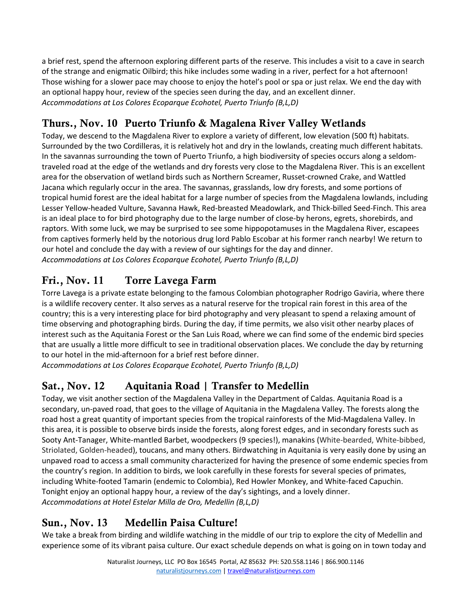a brief rest, spend the afternoon exploring different parts of the reserve. This includes a visit to a cave in search of the strange and enigmatic Oilbird; this hike includes some wading in a river, perfect for a hot afternoon! Those wishing for a slower pace may choose to enjoy the hotel's pool or spa or just relax. We end the day with an optional happy hour, review of the species seen during the day, and an excellent dinner. *Accommodations at Los Colores Ecoparque Ecohotel, Puerto Triunfo (B,L,D)*

## Thurs., Nov. 10 Puerto Triunfo & Magalena River Valley Wetlands

Today, we descend to the Magdalena River to explore a variety of different, low elevation (500 ft) habitats. Surrounded by the two Cordilleras, it is relatively hot and dry in the lowlands, creating much different habitats. In the savannas surrounding the town of Puerto Triunfo, a high biodiversity of species occurs along a seldomtraveled road at the edge of the wetlands and dry forests very close to the Magdalena River. This is an excellent area for the observation of wetland birds such as Northern Screamer, Russet-crowned Crake, and Wattled Jacana which regularly occur in the area. The savannas, grasslands, low dry forests, and some portions of tropical humid forest are the ideal habitat for a large number of species from the Magdalena lowlands, including Lesser Yellow-headed Vulture, Savanna Hawk, Red-breasted Meadowlark, and Thick-billed Seed-Finch. This area is an ideal place to for bird photography due to the large number of close-by herons, egrets, shorebirds, and raptors. With some luck, we may be surprised to see some hippopotamuses in the Magdalena River, escapees from captives formerly held by the notorious drug lord Pablo Escobar at his former ranch nearby! We return to our hotel and conclude the day with a review of our sightings for the day and dinner. *Accommodations at Los Colores Ecoparque Ecohotel, Puerto Triunfo (B,L,D)*

## Fri., Nov. 11 Torre Lavega Farm

Torre Lavega is a private estate belonging to the famous Colombian photographer Rodrigo Gaviria, where there is a wildlife recovery center. It also serves as a natural reserve for the tropical rain forest in this area of the country; this is a very interesting place for bird photography and very pleasant to spend a relaxing amount of time observing and photographing birds. During the day, if time permits, we also visit other nearby places of interest such as the Aquitania Forest or the San Luis Road, where we can find some of the endemic bird species that are usually a little more difficult to see in traditional observation places. We conclude the day by returning to our hotel in the mid-afternoon for a brief rest before dinner.

*Accommodations at Los Colores Ecoparque Ecohotel, Puerto Triunfo (B,L,D)*

## Sat., Nov. 12 Aquitania Road | Transfer to Medellin

Today, we visit another section of the Magdalena Valley in the Department of Caldas. Aquitania Road is a secondary, un-paved road, that goes to the village of Aquitania in the Magdalena Valley. The forests along the road host a great quantity of important species from the tropical rainforests of the Mid-Magdalena Valley. In this area, it is possible to observe birds inside the forests, along forest edges, and in secondary forests such as Sooty Ant-Tanager, White-mantled Barbet, woodpeckers (9 species!), manakins (White-bearded, White-bibbed, Striolated, Golden-headed), toucans, and many others. Birdwatching in Aquitania is very easily done by using an unpaved road to access a small community characterized for having the presence of some endemic species from the country's region. In addition to birds, we look carefully in these forests for several species of primates, including White-footed Tamarin (endemic to Colombia), Red Howler Monkey, and White-faced Capuchin. Tonight enjoy an optional happy hour, a review of the day's sightings, and a lovely dinner. *Accommodations at Hotel Estelar Milla de Oro, Medellin (B,L,D)*

## Sun., Nov. 13 Medellin Paisa Culture!

We take a break from birding and wildlife watching in the middle of our trip to explore the city of Medellin and experience some of its vibrant paisa culture. Our exact schedule depends on what is going on in town today and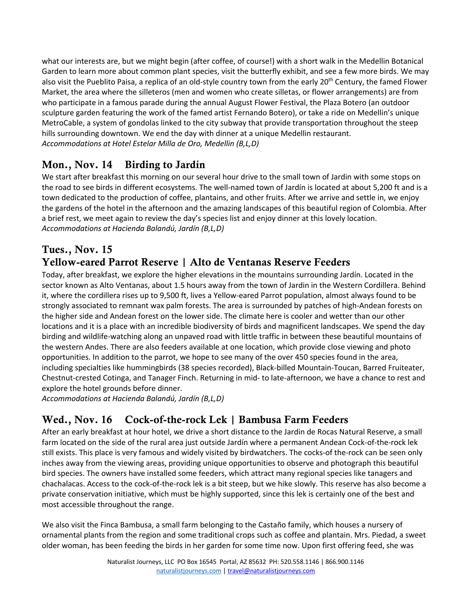what our interests are, but we might begin (after coffee, of course!) with a short walk in the Medellin Botanical Garden to learn more about common plant species, visit the butterfly exhibit, and see a few more birds. We may also visit the Pueblito Paisa, a replica of an old-style country town from the early 20<sup>th</sup> Century, the famed Flower Market, the area where the silleteros (men and women who create silletas, or flower arrangements) are from who participate in a famous parade during the annual August Flower Festival, the Plaza Botero (an outdoor sculpture garden featuring the work of the famed artist Fernando Botero), or take a ride on Medellin's unique MetroCable, a system of gondolas linked to the city subway that provide transportation throughout the steep hills surrounding downtown. We end the day with dinner at a unique Medellin restaurant. *Accommodations at Hotel Estelar Milla de Oro, Medellin (B,L,D)*

## Mon., Nov. 14 Birding to Jardín

We start after breakfast this morning on our several hour drive to the small town of Jardin with some stops on the road to see birds in different ecosystems. The well-named town of Jardín is located at about 5,200 ft and is a town dedicated to the production of coffee, plantains, and other fruits. After we arrive and settle in, we enjoy the gardens of the hotel in the afternoon and the amazing landscapes of this beautiful region of Colombia. After a brief rest, we meet again to review the day's species list and enjoy dinner at this lovely location. *Accommodations at Hacienda Balandú, Jardín (B,L,D)*

#### Tues., Nov. 15 Yellow-eared Parrot Reserve | Alto de Ventanas Reserve Feeders

Today, after breakfast, we explore the higher elevations in the mountains surrounding Jardín. Located in the sector known as Alto Ventanas, about 1.5 hours away from the town of Jardin in the Western Cordillera. Behind it, where the cordillera rises up to 9,500 ft, lives a Yellow-eared Parrot population, almost always found to be strongly associated to remnant wax palm forests. The area is surrounded by patches of high-Andean forests on the higher side and Andean forest on the lower side. The climate here is cooler and wetter than our other locations and it is a place with an incredible biodiversity of birds and magnificent landscapes. We spend the day birding and wildlife-watching along an unpaved road with little traffic in between these beautiful mountains of the western Andes. There are also feeders available at one location, which provide close viewing and photo opportunities. In addition to the parrot, we hope to see many of the over 450 species found in the area, including specialties like hummingbirds (38 species recorded), Black-billed Mountain-Toucan, Barred Fruiteater, Chestnut-crested Cotinga, and Tanager Finch. Returning in mid- to late-afternoon, we have a chance to rest and explore the hotel grounds before dinner.

*Accommodations at Hacienda Balandú, Jardín (B,L,D)*

## Wed., Nov. 16 Cock-of-the-rock Lek | Bambusa Farm Feeders

After an early breakfast at hour hotel, we drive a short distance to the Jardin de Rocas Natural Reserve, a small farm located on the side of the rural area just outside Jardín where a permanent Andean Cock-of-the-rock lek still exists. This place is very famous and widely visited by birdwatchers. The cocks-of the-rock can be seen only inches away from the viewing areas, providing unique opportunities to observe and photograph this beautiful bird species. The owners have installed some feeders, which attract many regional species like tanagers and chachalacas. Access to the cock-of-the-rock lek is a bit steep, but we hike slowly. This reserve has also become a private conservation initiative, which must be highly supported, since this lek is certainly one of the best and most accessible throughout the range.

We also visit the Finca Bambusa, a small farm belonging to the Castaño family, which houses a nursery of ornamental plants from the region and some traditional crops such as coffee and plantain. Mrs. Piedad, a sweet older woman, has been feeding the birds in her garden for some time now. Upon first offering feed, she was